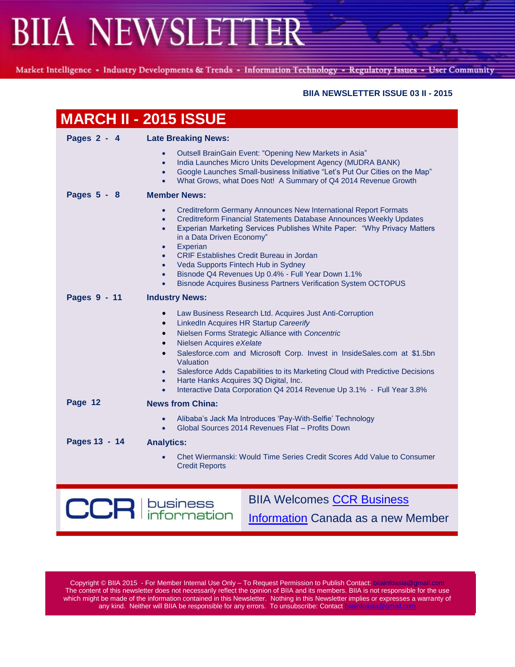Market Intelligence - Industry Developments & Trends - Information Technology - Regulatory Issues - User Community

#### **BIIA NEWSLETTER ISSUE 03 II - 2015**

|               | <b>MARCH II - 2015 ISSUE</b>                                                                                                                                                                                                                                                                                                                                                                                                                                                                                                                                                          |
|---------------|---------------------------------------------------------------------------------------------------------------------------------------------------------------------------------------------------------------------------------------------------------------------------------------------------------------------------------------------------------------------------------------------------------------------------------------------------------------------------------------------------------------------------------------------------------------------------------------|
| Pages 2 - 4   | <b>Late Breaking News:</b>                                                                                                                                                                                                                                                                                                                                                                                                                                                                                                                                                            |
|               | Outsell BrainGain Event: "Opening New Markets in Asia"<br>India Launches Micro Units Development Agency (MUDRA BANK)<br>$\bullet$<br>Google Launches Small-business Initiative "Let's Put Our Cities on the Map"<br>$\bullet$<br>What Grows, what Does Not! A Summary of Q4 2014 Revenue Growth<br>$\bullet$                                                                                                                                                                                                                                                                          |
| Pages 5 - 8   | <b>Member News:</b>                                                                                                                                                                                                                                                                                                                                                                                                                                                                                                                                                                   |
|               | <b>Creditreform Germany Announces New International Report Formats</b><br>$\bullet$<br>Creditreform Financial Statements Database Announces Weekly Updates<br>$\bullet$<br>Experian Marketing Services Publishes White Paper: "Why Privacy Matters<br>$\bullet$<br>in a Data Driven Economy"<br>Experian<br>$\bullet$<br><b>CRIF Establishes Credit Bureau in Jordan</b><br>$\bullet$<br>Veda Supports Fintech Hub in Sydney<br>$\bullet$<br>Bisnode Q4 Revenues Up 0.4% - Full Year Down 1.1%<br>$\bullet$                                                                           |
| Pages 9 - 11  | Bisnode Acquires Business Partners Verification System OCTOPUS<br>$\bullet$<br><b>Industry News:</b>                                                                                                                                                                                                                                                                                                                                                                                                                                                                                  |
|               | Law Business Research Ltd. Acquires Just Anti-Corruption<br>$\bullet$<br>LinkedIn Acquires HR Startup Careerify<br>$\bullet$<br>Nielsen Forms Strategic Alliance with Concentric<br>$\bullet$<br>Nielsen Acquires eXelate<br>$\bullet$<br>Salesforce.com and Microsoft Corp. Invest in InsideSales.com at \$1.5bn<br>$\bullet$<br>Valuation<br>Salesforce Adds Capabilities to its Marketing Cloud with Predictive Decisions<br>$\bullet$<br>Harte Hanks Acquires 3Q Digital, Inc.<br>$\bullet$<br>Interactive Data Corporation Q4 2014 Revenue Up 3.1% - Full Year 3.8%<br>$\bullet$ |
| Page 12       | <b>News from China:</b>                                                                                                                                                                                                                                                                                                                                                                                                                                                                                                                                                               |
|               | Alibaba's Jack Ma Introduces 'Pay-With-Selfie' Technology<br>$\bullet$<br>Global Sources 2014 Revenues Flat - Profits Down<br>$\bullet$                                                                                                                                                                                                                                                                                                                                                                                                                                               |
| Pages 13 - 14 | <b>Analytics:</b>                                                                                                                                                                                                                                                                                                                                                                                                                                                                                                                                                                     |
|               | Chet Wiermanski: Would Time Series Credit Scores Add Value to Consumer<br><b>Credit Reports</b>                                                                                                                                                                                                                                                                                                                                                                                                                                                                                       |
|               | <b>DIIA Walcomos CCD Puginess</b>                                                                                                                                                                                                                                                                                                                                                                                                                                                                                                                                                     |

 $CCR$  business **BIIA WEICOMES <u>CCR</u> BUSINESS** 

[Information](http://www.biia.com/meet-our-associate-member-ccr-business-information-limited) Canada as a new Member

Copyright © BIIA 2015 - For Member Internal Use Only – To Request Permission to Publish Contact: biiainfoasia@gmail.com The content of this newsletter does not necessarily reflect the opinion of BIIA and its members. BIIA is not responsible for the use which might be made of the information contained in this Newsletter. Nothing in this Newsletter implies or expresses a warranty of any kind. Neither will BIIA be responsible for any errors. To unsubscribe: Contact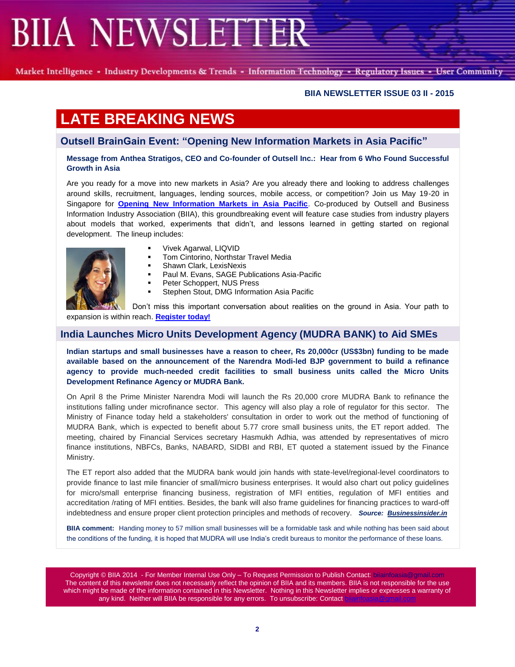Market Intelligence - Industry Developments & Trends - Information Technology - Regulatory Issues - User Community

#### **BIIA NEWSLETTER ISSUE 03 II - 2015**

# **LATE BREAKING NEWS**

### **Outsell BrainGain Event: "Opening New Information Markets in Asia Pacific"**

#### **Message from Anthea Stratigos, CEO and Co-founder of Outsell Inc.: Hear from 6 Who Found Successful Growth in Asia**

Are you ready for a move into new markets in Asia? Are you already there and looking to address challenges around skills, recruitment, languages, lending sources, mobile access, or competition? Join us May 19-20 in Singapore for **[Opening New Information Markets in Asia Pacific](http://www.outsellinc.com/asia2015_about)**. Co-produced by Outsell and Business Information Industry Association (BIIA), this groundbreaking event will feature case studies from industry players about models that worked, experiments that didn't, and lessons learned in getting started on regional development. The lineup includes:



- Vivek Agarwal, LIQVID
- Tom Cintorino, Northstar Travel Media
- Shawn Clark, LexisNexis
- Paul M. Evans, SAGE Publications Asia-Pacific
- Peter Schoppert, NUS Press
- Stephen Stout, DMG Information Asia Pacific

Don't miss this important conversation about realities on the ground in Asia. Your path to expansion is within reach. **[Register](http://www.outsellinc.com/asia2015_registration) today!**

### **India Launches Micro Units Development Agency (MUDRA BANK) to Aid SMEs**

**Indian startups and small businesses have a reason to cheer, Rs 20,000cr (US\$3bn) funding to be made available based on the announcement of the Narendra Modi-led BJP government to build a refinance agency to provide much-needed credit facilities to small business units called the Micro Units Development Refinance Agency or MUDRA Bank.**

On April 8 the Prime Minister Narendra Modi will launch the Rs 20,000 crore MUDRA Bank to refinance the institutions falling under microfinance sector. This agency will also play a role of regulator for this sector. The Ministry of Finance today held a stakeholders' consultation in order to work out the method of functioning of MUDRA Bank, which is expected to benefit about 5.77 crore small business units, the ET report added. The meeting, chaired by Financial Services secretary Hasmukh Adhia, was attended by representatives of micro finance institutions, NBFCs, Banks, NABARD, SIDBI and RBI, ET quoted a statement issued by the Finance Ministry.

The ET report also added that the MUDRA bank would join hands with state-level/regional-level coordinators to provide finance to last mile financier of small/micro business enterprises. It would also chart out policy guidelines for micro/small enterprise financing business, registration of MFI entities, regulation of MFI entities and accreditation /rating of MFI entities. Besides, the bank will also frame guidelines for financing practices to ward-off indebtedness and ensure proper client protection principles and methods of recovery. *Source: [Businessinsider.in](http://www.businessinsider.in/Indian-startups-and-small-businesses-have-a-reason-to-cheer-Rs-20000cr-funding-to-be-made-available-April-8-onwards/articleshow/46699615.cms)*

**BIIA comment:** Handing money to 57 million small businesses will be a formidable task and while nothing has been said about the conditions of the funding, it is hoped that MUDRA will use India's credit bureaus to monitor the performance of these loans.

Copyright © BIIA 2014 - For Member Internal Use Only – To Request Permission to Publish Contact: biiainfoasi The content of this newsletter does not necessarily reflect the opinion of BIIA and its members. BIIA is not responsible for the use which might be made of the information contained in this Newsletter. Nothing in this Newsletter implies or expresses a warranty of any kind. Neither will BIIA be responsible for any errors. To unsubscribe: Contact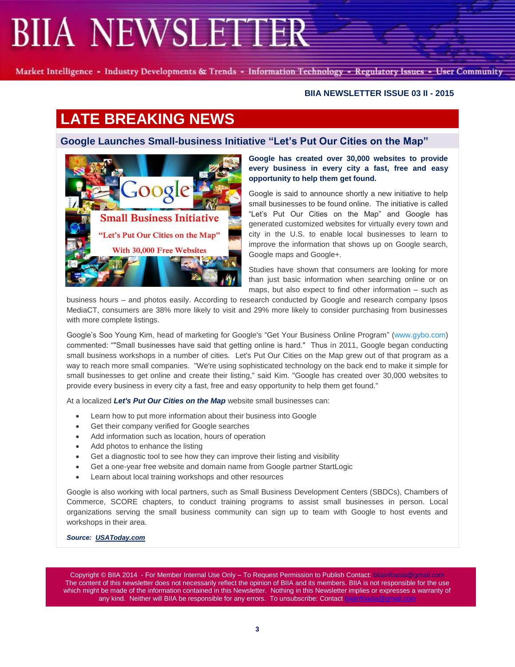Market Intelligence - Industry Developments & Trends - Information Technology - Regulatory Issues - User Community

#### **BIIA NEWSLETTER ISSUE 03 II - 2015**

# **LATE BREAKING NEWS**

## **Google Launches Small-business Initiative "Let's Put Our Cities on the Map"**



#### **Google has created over 30,000 websites to provide every business in every city a fast, free and easy opportunity to help them get found.**

Google is said to announce shortly a new initiative to help small businesses to be found online. The initiative is called "Let's Put Our Cities on the Map" and Google has generated customized websites for virtually every town and city in the U.S. to enable local businesses to learn to improve the information that shows up on Google search, Google maps and Google+.

Studies have shown that consumers are looking for more than just basic information when searching online or on maps, but also expect to find other information – such as

business hours – and photos easily. According to research conducted by Google and research company Ipsos MediaCT, consumers are 38% more likely to visit and 29% more likely to consider purchasing from businesses with more complete listings.

Google's Soo Young Kim, head of marketing for Google's "Get Your Business Online Program" [\(www.gybo.com\)](https://www.gybo.com/) commented: ""Small businesses have said that getting online is hard." Thus in 2011, Google began conducting small business workshops in a number of cities. Let's Put Our Cities on the Map grew out of that program as a way to reach more small companies. "We're using sophisticated technology on the back end to make it simple for small businesses to get online and create their listing," said Kim. "Google has created over 30,000 websites to provide every business in every city a fast, free and easy opportunity to help them get found."

At a localized *Let's Put Our Cities on the Map* website small businesses can:

- Learn how to put more information about their business into Google
- Get their company verified for Google searches
- Add information such as location, hours of operation
- Add photos to enhance the listing
- Get a diagnostic tool to see how they can improve their listing and visibility
- Get a one-year free website and domain name from Google partner StartLogic
- Learn about local training workshops and other resources

Google is also working with local partners, such as Small Business Development Centers (SBDCs), Chambers of Commerce, SCORE chapters, to conduct training programs to assist small businesses in person. Local organizations serving the small business community can sign up to team with Google to host events and workshops in their area.

#### *Source: [USAToday.com](http://www.usatoday.com/story/money/business/2015/03/25/google-small-business/70387400/)*

Copyright © BIIA 2014 - For Member Internal Use Only - To Request Permission to Publish Contact: biiainfoasia The content of this newsletter does not necessarily reflect the opinion of BIIA and its members. BIIA is not responsible for the use which might be made of the information contained in this Newsletter. Nothing in this Newsletter implies or expresses a warranty of any kind. Neither will BIIA be responsible for any errors. To unsubscribe: Contact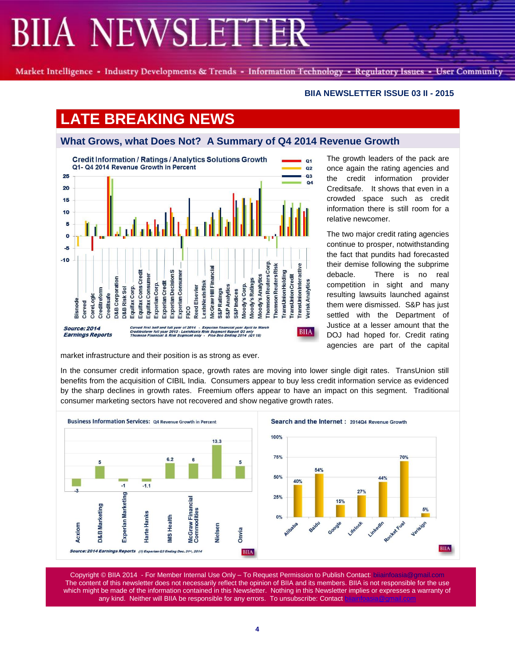Market Intelligence - Industry Developments & Trends - Information Technology - Regulatory Issues - User Community

#### **BIIA NEWSLETTER ISSUE 03 II - 2015**

# **LATE BREAKING NEWS**

## **What Grows, what Does Not? A Summary of Q4 2014 Revenue Growth**



The growth leaders of the pack are once again the rating agencies and the credit information provider Creditsafe. It shows that even in a crowded space such as credit information there is still room for a relative newcomer.

The two major credit rating agencies continue to prosper, notwithstanding the fact that pundits had forecasted their demise following the subprime debacle. There is no real competition in sight and many resulting lawsuits launched against them were dismissed. S&P has just settled with the Department of Justice at a lesser amount that the DOJ had hoped for. Credit rating agencies are part of the capital

market infrastructure and their position is as strong as ever.

In the consumer credit information space, growth rates are moving into lower single digit rates. TransUnion still benefits from the acquisition of CIBIL India. Consumers appear to buy less credit information service as evidenced by the sharp declines in growth rates. Freemium offers appear to have an impact on this segment. Traditional consumer marketing sectors have not recovered and show negative growth rates.



Copyright © BIIA 2014 - For Member Internal Use Only - To Request Permission to Publish Contact: biiainfoas The content of this newsletter does not necessarily reflect the opinion of BIIA and its members. BIIA is not responsible for the use which might be made of the information contained in this Newsletter. Nothing in this Newsletter implies or expresses a warranty of any kind. Neither will BIIA be responsible for any errors. To unsubscribe: Contact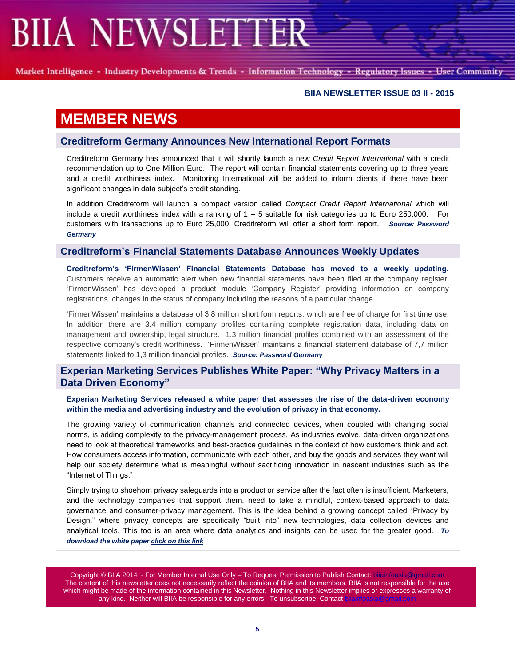Market Intelligence - Industry Developments & Trends - Information Technology - Regulatory Issues - User Community

#### **BIIA NEWSLETTER ISSUE 03 II - 2015**

## **MEMBER NEWS**

### **Creditreform Germany Announces New International Report Formats**

Creditreform Germany has announced that it will shortly launch a new *Credit Report International* with a credit recommendation up to One Million Euro. The report will contain financial statements covering up to three years and a credit worthiness index. Monitoring International will be added to inform clients if there have been significant changes in data subject's credit standing.

In addition Creditreform will launch a compact version called *Compact Credit Report International* which will include a credit worthiness index with a ranking of  $1 - 5$  suitable for risk categories up to Euro 250,000. For customers with transactions up to Euro 25,000, Creditreform will offer a short form report. *Source: Password Germany*

#### **Creditreform's Financial Statements Database Announces Weekly Updates**

**Creditreform's 'FirmenWissen' Financial Statements Database has moved to a weekly updating.** Customers receive an automatic alert when new financial statements have been filed at the company register. 'FirmenWissen' has developed a product module 'Company Register' providing information on company registrations, changes in the status of company including the reasons of a particular change.

'FirmenWissen' maintains a database of 3.8 million short form reports, which are free of charge for first time use. In addition there are 3.4 million company profiles containing complete registration data, including data on management and ownership, legal structure. 1.3 million financial profiles combined with an assessment of the respective company's credit worthiness. 'FirmenWissen' maintains a financial statement database of 7,7 million statements linked to 1,3 million financial profiles. *Source: Password Germany*

## **Experian Marketing Services Publishes White Paper: "Why Privacy Matters in a Data Driven Economy"**

**Experian Marketing Services released a white paper that assesses the rise of the data-driven economy within the media and advertising industry and the evolution of privacy in that economy.**

The growing variety of communication channels and connected devices, when coupled with changing social norms, is adding complexity to the privacy-management process. As industries evolve, data-driven organizations need to look at theoretical frameworks and best-practice guidelines in the context of how customers think and act. How consumers access information, communicate with each other, and buy the goods and services they want will help our society determine what is meaningful without sacrificing innovation in nascent industries such as the "Internet of Things."

Simply trying to shoehorn privacy safeguards into a product or service after the fact often is insufficient. Marketers, and the technology companies that support them, need to take a mindful, context-based approach to data governance and consumer-privacy management. This is the idea behind a growing concept called "Privacy by Design," where privacy concepts are specifically "built into" new technologies, data collection devices and analytical tools. This too is an area where data analytics and insights can be used for the greater good. *To download the white pape[r click on this link](http://www.experian.com/assets/marketing-services/p/ems-why-privacy-matters.pdf)*

Copyright © BIIA 2014 - For Member Internal Use Only - To Request Permission to Publish Contact: bilainfoasia The content of this newsletter does not necessarily reflect the opinion of BIIA and its members. BIIA is not responsible for the use which might be made of the information contained in this Newsletter. Nothing in this Newsletter implies or expresses a warranty of any kind. Neither will BIIA be responsible for any errors. To unsubscribe: Contact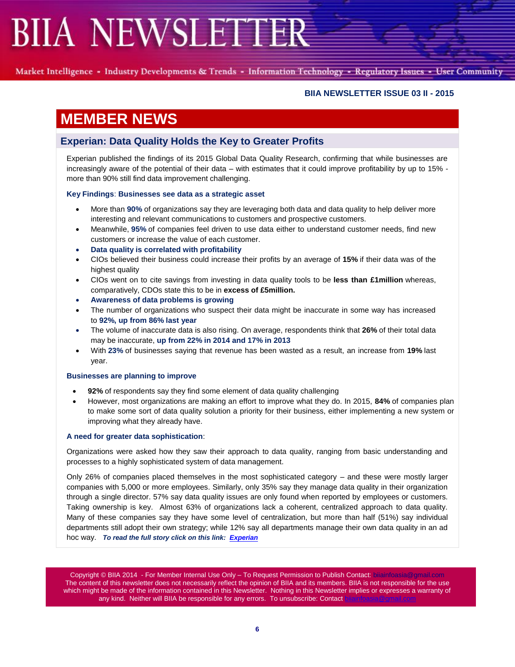Market Intelligence - Industry Developments & Trends - Information Technology - Regulatory Issues - User Community

#### **BIIA NEWSLETTER ISSUE 03 II - 2015**

# **MEMBER NEWS**

## **Experian: Data Quality Holds the Key to Greater Profits**

Experian published the findings of its 2015 Global Data Quality Research, confirming that while businesses are increasingly aware of the potential of their data – with estimates that it could improve profitability by up to 15% more than 90% still find data improvement challenging.

#### **Key Findings**: **Businesses see data as a strategic asset**

- More than **90%** of organizations say they are leveraging both data and data quality to help deliver more interesting and relevant communications to customers and prospective customers.
- Meanwhile, **95%** of companies feel driven to use data either to understand customer needs, find new customers or increase the value of each customer.
- **Data quality is correlated with profitability**
- CIOs believed their business could increase their profits by an average of **15%** if their data was of the highest quality
- CIOs went on to cite savings from investing in data quality tools to be **less than £1million** whereas, comparatively, CDOs state this to be in **excess of £5million.**
- **Awareness of data problems is growing**
- The number of organizations who suspect their data might be inaccurate in some way has increased to **92%, up from 86% last year**
- The volume of inaccurate data is also rising. On average, respondents think that **26%** of their total data may be inaccurate, **up from 22% in 2014 and 17% in 2013**
- With **23%** of businesses saying that revenue has been wasted as a result, an increase from **19%** last year.

#### **Businesses are planning to improve**

- **92%** of respondents say they find some element of data quality challenging
- However, most organizations are making an effort to improve what they do. In 2015, **84%** of companies plan to make some sort of data quality solution a priority for their business, either implementing a new system or improving what they already have.

#### **A need for greater data sophistication**:

Organizations were asked how they saw their approach to data quality, ranging from basic understanding and processes to a highly sophisticated system of data management.

Only 26% of companies placed themselves in the most sophisticated category – and these were mostly larger companies with 5,000 or more employees. Similarly, only 35% say they manage data quality in their organization through a single director. 57% say data quality issues are only found when reported by employees or customers. Taking ownership is key. Almost 63% of organizations lack a coherent, centralized approach to data quality. Many of these companies say they have some level of centralization, but more than half (51%) say individual departments still adopt their own strategy; while 12% say all departments manage their own data quality in an ad hoc way. *To read the full story click on this link: [Experian](https://www.experianplc.com/media/news/2015/data-quality-holds-the-key-to-greater-profits/)*

Copyright © BIIA 2014 - For Member Internal Use Only - To Request Permission to Publish Contact: biiainfoasia The content of this newsletter does not necessarily reflect the opinion of BIIA and its members. BIIA is not responsible for the use which might be made of the information contained in this Newsletter. Nothing in this Newsletter implies or expresses a warranty of any kind. Neither will BIIA be responsible for any errors. To unsubscribe: Contact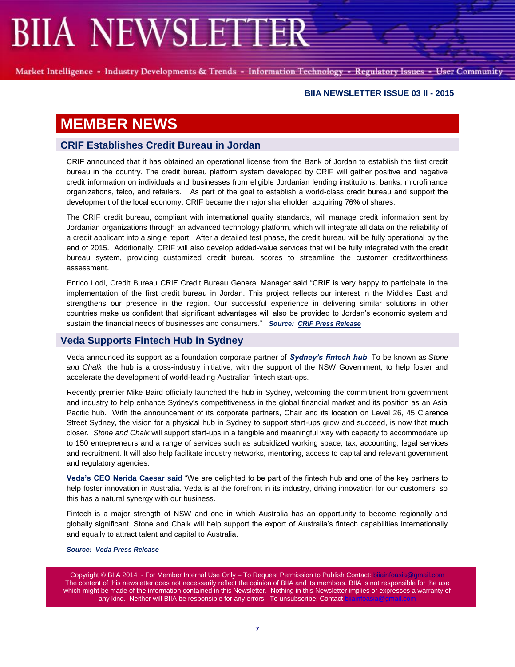Market Intelligence - Industry Developments & Trends - Information Technology - Regulatory Issues - User Community

#### **BIIA NEWSLETTER ISSUE 03 II - 2015**

# **MEMBER NEWS**

### **CRIF Establishes Credit Bureau in Jordan**

CRIF announced that it has obtained an operational license from the Bank of Jordan to establish the first credit bureau in the country. The credit bureau platform system developed by CRIF will gather positive and negative credit information on individuals and businesses from eligible Jordanian lending institutions, banks, microfinance organizations, telco, and retailers. As part of the goal to establish a world-class credit bureau and support the development of the local economy, CRIF became the major shareholder, acquiring 76% of shares.

The CRIF credit bureau, compliant with international quality standards, will manage credit information sent by Jordanian organizations through an advanced technology platform, which will integrate all data on the reliability of a credit applicant into a single report. After a detailed test phase, the credit bureau will be fully operational by the end of 2015. Additionally, CRIF will also develop added-value services that will be fully integrated with the credit bureau system, providing customized credit bureau scores to streamline the customer creditworthiness assessment.

Enrico Lodi, Credit Bureau CRIF Credit Bureau General Manager said "CRIF is very happy to participate in the implementation of the first credit bureau in Jordan. This project reflects our interest in the Middles East and strengthens our presence in the region. Our successful experience in delivering similar solutions in other countries make us confident that significant advantages will also be provided to Jordan's economic system and sustain the financial needs of businesses and consumers." *Source: [CRIF Press Release](http://www.crif.com/site/en/News/Press-Releases/Pages/CRIF-is-establishing-a-full-fledged-credit-bureau-in-Jordan.aspx)*

## **Veda Supports Fintech Hub in Sydney**

Veda announced its support as a foundation corporate partner of *Sydney's fintech hub*. To be known as *Stone and Chalk*, the hub is a cross-industry initiative, with the support of the NSW Government, to help foster and accelerate the development of world-leading Australian fintech start-ups.

Recently premier Mike Baird officially launched the hub in Sydney, welcoming the commitment from government and industry to help enhance Sydney's competitiveness in the global financial market and its position as an Asia Pacific hub. With the announcement of its corporate partners, Chair and its location on Level 26, 45 Clarence Street Sydney, the vision for a physical hub in Sydney to support start-ups grow and succeed, is now that much closer. *Stone and Chalk* will support start-ups in a tangible and meaningful way with capacity to accommodate up to 150 entrepreneurs and a range of services such as subsidized working space, tax, accounting, legal services and recruitment. It will also help facilitate industry networks, mentoring, access to capital and relevant government and regulatory agencies.

**Veda's CEO Nerida Caesar said** "We are delighted to be part of the fintech hub and one of the key partners to help foster innovation in Australia. Veda is at the forefront in its industry, driving innovation for our customers, so this has a natural synergy with our business.

Fintech is a major strength of NSW and one in which Australia has an opportunity to become regionally and globally significant. Stone and Chalk will help support the export of Australia's fintech capabilities internationally and equally to attract talent and capital to Australia.

#### *Source: [Veda Press Release](http://www.veda.com.au/insights/veda-supports-fintech-hub-sydney)*

Copyright © BIIA 2014 - For Member Internal Use Only - To Request Permission to Publish Contact: bilainfoasia The content of this newsletter does not necessarily reflect the opinion of BIIA and its members. BIIA is not responsible for the use which might be made of the information contained in this Newsletter. Nothing in this Newsletter implies or expresses a warranty of any kind. Neither will BIIA be responsible for any errors. To unsubscribe: Contact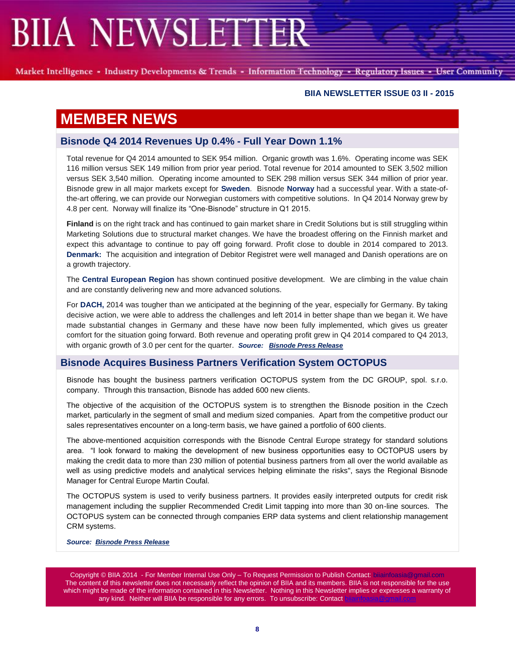Market Intelligence - Industry Developments & Trends - Information Technology - Regulatory Issues - User Community

#### **BIIA NEWSLETTER ISSUE 03 II - 2015**

# **MEMBER NEWS**

### **Bisnode Q4 2014 Revenues Up 0.4% - Full Year Down 1.1%**

Total revenue for Q4 2014 amounted to SEK 954 million. Organic growth was 1.6%. Operating income was SEK 116 million versus SEK 149 million from prior year period. Total revenue for 2014 amounted to SEK 3,502 million versus SEK 3,540 million. Operating income amounted to SEK 298 million versus SEK 344 million of prior year. Bisnode grew in all major markets except for **Sweden**. Bisnode **Norway** had a successful year. With a state-ofthe-art offering, we can provide our Norwegian customers with competitive solutions. In Q4 2014 Norway grew by 4.8 per cent. Norway will finalize its "One-Bisnode" structure in Q1 2015.

**Finland** is on the right track and has continued to gain market share in Credit Solutions but is still struggling within Marketing Solutions due to structural market changes. We have the broadest offering on the Finnish market and expect this advantage to continue to pay off going forward. Profit close to double in 2014 compared to 2013. **Denmark:** The acquisition and integration of Debitor Registret were well managed and Danish operations are on a growth trajectory.

The **Central European Region** has shown continued positive development. We are climbing in the value chain and are constantly delivering new and more advanced solutions.

For **DACH,** 2014 was tougher than we anticipated at the beginning of the year, especially for Germany. By taking decisive action, we were able to address the challenges and left 2014 in better shape than we began it. We have made substantial changes in Germany and these have now been fully implemented, which gives us greater comfort for the situation going forward. Both revenue and operating profit grew in Q4 2014 compared to Q4 2013, with organic growth of 3.0 per cent for the quarter. *Source: [Bisnode Press Release](https://www.bisnode.com/PageFiles/8084/Bisnode%20Interim%20report%20Q4%202014.pdf)*

### **Bisnode Acquires Business Partners Verification System OCTOPUS**

Bisnode has bought the business partners verification OCTOPUS system from the DC GROUP, spol. s.r.o. company. Through this transaction, Bisnode has added 600 new clients.

The objective of the acquisition of the OCTOPUS system is to strengthen the Bisnode position in the Czech market, particularly in the segment of small and medium sized companies. Apart from the competitive product our sales representatives encounter on a long-term basis, we have gained a portfolio of 600 clients.

The above-mentioned acquisition corresponds with the Bisnode Central Europe strategy for standard solutions area. "I look forward to making the development of new business opportunities easy to OCTOPUS users by making the credit data to more than 230 million of potential business partners from all over the world available as well as using predictive models and analytical services helping eliminate the risks", says the Regional Bisnode Manager for Central Europe Martin Coufal.

The OCTOPUS system is used to verify business partners. It provides easily interpreted outputs for credit risk management including the supplier Recommended Credit Limit tapping into more than 30 on-line sources. The OCTOPUS system can be connected through companies ERP data systems and client relationship management CRM systems.

*Source: [Bisnode Press Release](https://www.bisnode.com/Group/Press/News/bisnode-keeps-on-consolidating-company-data-in-the-czech-republic/)*

Copyright © BIIA 2014 - For Member Internal Use Only - To Request Permission to Publish Contact: biiainfoasia The content of this newsletter does not necessarily reflect the opinion of BIIA and its members. BIIA is not responsible for the use which might be made of the information contained in this Newsletter. Nothing in this Newsletter implies or expresses a warranty of any kind. Neither will BIIA be responsible for any errors. To unsubscribe: Contact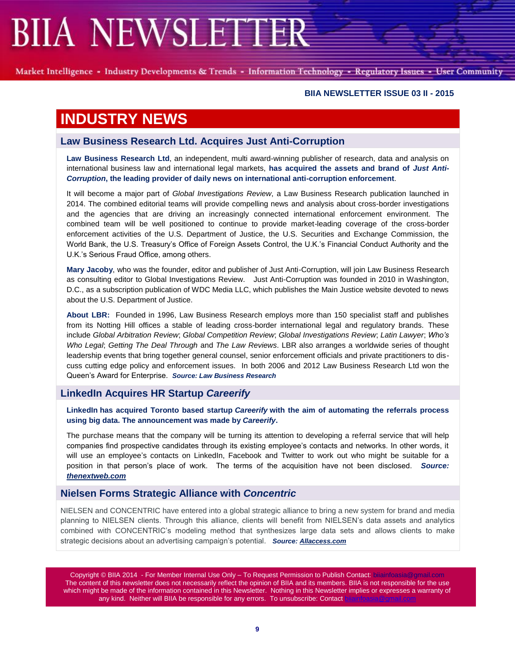Market Intelligence - Industry Developments & Trends - Information Technology - Regulatory Issues - User Community

#### **BIIA NEWSLETTER ISSUE 03 II - 2015**

# **INDUSTRY NEWS**

### **Law Business Research Ltd. Acquires Just Anti-Corruption**

**Law Business Research Ltd**, an independent, multi award-winning publisher of research, data and analysis on international business law and international legal markets, **has acquired the assets and brand of** *Just Anti-Corruption***, the leading provider of daily news on international anti-corruption enforcement**.

It will become a major part of *Global Investigations Review*, a Law Business Research publication launched in 2014. The combined editorial teams will provide compelling news and analysis about cross-border investigations and the agencies that are driving an increasingly connected international enforcement environment. The combined team will be well positioned to continue to provide market-leading coverage of the cross-border enforcement activities of the U.S. Department of Justice, the U.S. Securities and Exchange Commission, the World Bank, the U.S. Treasury's Office of Foreign Assets Control, the U.K.'s Financial Conduct Authority and the U.K.'s Serious Fraud Office, among others.

**Mary Jacoby**, who was the founder, editor and publisher of Just Anti-Corruption, will join Law Business Research as consulting editor to Global Investigations Review. Just Anti-Corruption was founded in 2010 in Washington, D.C., as a subscription publication of WDC Media LLC, which publishes the Main Justice website devoted to news about the U.S. Department of Justice.

**About LBR:** Founded in 1996, Law Business Research employs more than 150 specialist staff and publishes from its Notting Hill offices a stable of leading cross-border international legal and regulatory brands. These include *Global Arbitration Review*; *Global Competition Review*; *Global Investigations Review*; *Latin Lawyer*; *Who's Who Legal*; *Getting The Deal Through* and *The Law Reviews*. LBR also arranges a worldwide series of thought leadership events that bring together general counsel, senior enforcement officials and private practitioners to discuss cutting edge policy and enforcement issues. In both 2006 and 2012 Law Business Research Ltd won the Queen's Award for Enterprise. *Source: Law Business Research* 

## **LinkedIn Acquires HR Startup** *Careerify*

**[LinkedIn](http://www.linkedin.com/) has acquired Toronto based startup** *[Careerify](http://www.careerify.net/)* **with the aim of automating the referrals process using big data. Th[e announcement](http://careerify.net/linkedin-acquires-careerify/) was made by** *Careerify***.**

The purchase means that the company will be turning its attention to developing a referral service that will help companies find prospective candidates through its existing employee's contacts and networks. In other words, it will use an employee's contacts on LinkedIn, Facebook and Twitter to work out who might be suitable for a position in that person's place of work. The terms of the acquisition have not been disclosed. *Source: [thenextweb.com](http://thenextweb.com/insider/2015/03/16/linkedin-acquires-hr-startup-careerify/)*

## **Nielsen Forms Strategic Alliance with** *Concentric*

NIELSEN and CONCENTRIC have entered into a global strategic alliance to bring a new system for brand and media planning to NIELSEN clients. Through this alliance, clients will benefit from NIELSEN's data assets and analytics combined with CONCENTRIC's modeling method that synthesizes large data sets and allows clients to make strategic decisions about an advertising campaign's potential. *Source[: Allaccess.com](http://www.allaccess.com/net-news/archive/story/139379/nielsen-forms-strategic-alliance-with-concentric)*

Copyright © BIIA 2014 - For Member Internal Use Only – To Request Permission to Publish Contact: biiainfoasia The content of this newsletter does not necessarily reflect the opinion of BIIA and its members. BIIA is not responsible for the use which might be made of the information contained in this Newsletter. Nothing in this Newsletter implies or expresses a warranty of any kind. Neither will BIIA be responsible for any errors. To unsubscribe: Contact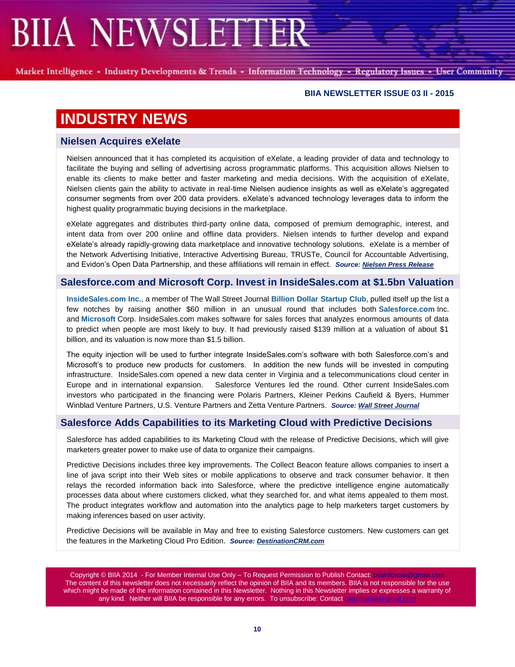Market Intelligence - Industry Developments & Trends - Information Technology - Regulatory Issues - User Community

#### **BIIA NEWSLETTER ISSUE 03 II - 2015**

# **INDUSTRY NEWS**

## **Nielsen Acquires eXelate**

Nielsen announced that it has completed its acquisition of eXelate, a leading provider of data and technology to facilitate the buying and selling of advertising across programmatic platforms. This acquisition allows Nielsen to enable its clients to make better and faster marketing and media decisions. With the acquisition of eXelate, Nielsen clients gain the ability to activate in real-time Nielsen audience insights as well as eXelate's aggregated consumer segments from over 200 data providers. eXelate's advanced technology leverages data to inform the highest quality programmatic buying decisions in the marketplace.

eXelate aggregates and distributes third-party online data, composed of premium demographic, interest, and intent data from over 200 online and offline data providers. Nielsen intends to further develop and expand eXelate's already rapidly-growing data marketplace and innovative technology solutions. eXelate is a member of the Network Advertising Initiative, Interactive Advertising Bureau, TRUSTe, Council for Accountable Advertising, and Evidon's Open Data Partnership, and these affiliations will remain in effect. *Source: [Nielsen Press Release](http://www.nielsen.com/us/en/press-room/2015/nielsen-acquires-exelate.html)*

### **Salesforce.com and Microsoft Corp. Invest in InsideSales.com at \$1.5bn Valuation**

**[InsideSales.com Inc.](http://www.insidesales.com/)**, a member of The Wall Street Journal **[Billion Dollar Startup Club](http://graphics.wsj.com/billion-dollar-club/?co=InsideSales.com)**, pulled itself up the list a few notches by raising another \$60 million in an unusual round that includes both **[Salesforce.com](http://online.wsj.com/public/quotes/main.html?type=djn&symbol=CRM)** Inc. and **[Microsoft](http://online.wsj.com/public/quotes/main.html?type=djn&symbol=MSFT)** Corp. InsideSales.com makes software for sales forces that analyzes enormous amounts of data to predict when people are most likely to buy. It had previously raised \$139 million at a valuation of about \$1 billion, and its valuation is now more than \$1.5 billion.

The equity injection will be used to further integrate InsideSales.com's software with both Salesforce.com's and Microsoft's to produce new products for customers. In addition the new funds will be invested in computing infrastructure. InsideSales.com opened a new data center in Virginia and a telecommunications cloud center in Europe and in international expansion. Salesforce Ventures led the round. Other current InsideSales.com investors who participated in the financing were Polaris Partners, Kleiner Perkins Caufield & Byers, Hummer Winblad Venture Partners, U.S. Venture Partners and Zetta Venture Partners. *Source: [Wall Street Journal](http://blogs.wsj.com/venturecapital/2015/03/18/salesforce-and-microsoft-invest-in-insidesales-com-at-1-5b-valuation/)*

## **Salesforce Adds Capabilities to its Marketing Cloud with Predictive Decisions**

Salesforce has added capabilities to its Marketing Cloud with the release of Predictive Decisions, which will give marketers greater power to make use of data to organize their campaigns.

Predictive Decisions includes three key improvements. The Collect Beacon feature allows companies to insert a line of java script into their Web sites or mobile applications to observe and track consumer behavior. It then relays the recorded information back into Salesforce, where the predictive intelligence engine automatically processes data about where customers clicked, what they searched for, and what items appealed to them most. The product integrates workflow and automation into the analytics page to help marketers target customers by making inferences based on user activity.

Predictive Decisions will be available in May and free to existing Salesforce customers. New customers can get the features in the Marketing Cloud Pro Edition. *Source[: DestinationCRM.com](http://www.destinationcrm.com/Articles/CRM-News/CRM-Featured-News/Salesforce.com-Bolsters-its-Marketing-Cloud-with-Predictive-Decisions-102502.aspx)*

Copyright © BIIA 2014 - For Member Internal Use Only - To Request Permission to Publish Contact: bilainfoasia The content of this newsletter does not necessarily reflect the opinion of BIIA and its members. BIIA is not responsible for the use which might be made of the information contained in this Newsletter. Nothing in this Newsletter implies or expresses a warranty of any kind. Neither will BIIA be responsible for any errors. To unsubscribe: Contact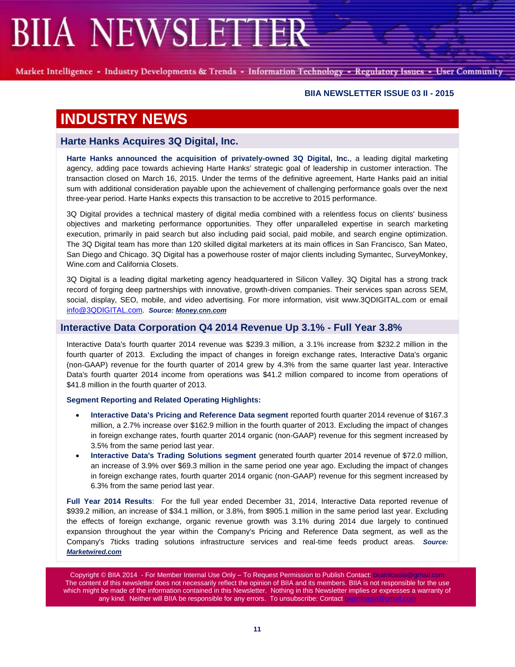Market Intelligence - Industry Developments & Trends - Information Technology - Regulatory Issues - User Community

#### **BIIA NEWSLETTER ISSUE 03 II - 2015**

# **INDUSTRY NEWS**

## **Harte Hanks Acquires 3Q Digital, Inc.**

**Harte Hanks announced the acquisition of privately-owned 3Q Digital, Inc.**, a leading digital marketing agency, adding pace towards achieving Harte Hanks' strategic goal of leadership in customer interaction. The transaction closed on March 16, 2015. Under the terms of the definitive agreement, Harte Hanks paid an initial sum with additional consideration payable upon the achievement of challenging performance goals over the next three-year period. Harte Hanks expects this transaction to be accretive to 2015 performance.

3Q Digital provides a technical mastery of digital media combined with a relentless focus on clients' business objectives and marketing performance opportunities. They offer unparalleled expertise in search marketing execution, primarily in paid search but also including paid social, paid mobile, and search engine optimization. The 3Q Digital team has more than 120 skilled digital marketers at its main offices in San Francisco, San Mateo, San Diego and Chicago. 3Q Digital has a powerhouse roster of major clients including Symantec, SurveyMonkey, Wine.com and California Closets.

3Q Digital is a leading digital marketing agency headquartered in Silicon Valley. 3Q Digital has a strong track record of forging deep partnerships with innovative, growth-driven companies. Their services span across SEM, social, display, SEO, mobile, and video advertising. For more information, visit www.3QDIGITAL.com or email [info@3QDIGITAL.com.](mailto:info@3QDIGITAL.com) *Source: [Money.cnn.com](http://money.cnn.com/news/newsfeeds/articles/marketwire/1181775.htm)*

### **Interactive Data Corporation Q4 2014 Revenue Up 3.1% - Full Year 3.8%**

Interactive Data's fourth quarter 2014 revenue was \$239.3 million, a 3.1% increase from \$232.2 million in the fourth quarter of 2013. Excluding the impact of changes in foreign exchange rates, Interactive Data's organic (non-GAAP) revenue for the fourth quarter of 2014 grew by 4.3% from the same quarter last year. Interactive Data's fourth quarter 2014 income from operations was \$41.2 million compared to income from operations of \$41.8 million in the fourth quarter of 2013.

#### **Segment Reporting and Related Operating Highlights:**

- **Interactive Data's Pricing and Reference Data segment** reported fourth quarter 2014 revenue of \$167.3 million, a 2.7% increase over \$162.9 million in the fourth quarter of 2013. Excluding the impact of changes in foreign exchange rates, fourth quarter 2014 organic (non-GAAP) revenue for this segment increased by 3.5% from the same period last year.
- **Interactive Data's Trading Solutions segment** generated fourth quarter 2014 revenue of \$72.0 million, an increase of 3.9% over \$69.3 million in the same period one year ago. Excluding the impact of changes in foreign exchange rates, fourth quarter 2014 organic (non-GAAP) revenue for this segment increased by 6.3% from the same period last year.

**Full Year 2014 Results**: For the full year ended December 31, 2014, Interactive Data reported revenue of \$939.2 million, an increase of \$34.1 million, or 3.8%, from \$905.1 million in the same period last year. Excluding the effects of foreign exchange, organic revenue growth was 3.1% during 2014 due largely to continued expansion throughout the year within the Company's Pricing and Reference Data segment, as well as the Company's 7ticks trading solutions infrastructure services and real-time feeds product areas. *Source: [Marketwired.com](http://www.marketwired.com/press-release/interactive-data-reports-fourth-quarter-and-full-year-2014-results-1991608.htm)*

Copyright © BIIA 2014 - For Member Internal Use Only – To Request Permission to Publish Contact: biiainfoasi The content of this newsletter does not necessarily reflect the opinion of BIIA and its members. BIIA is not responsible for the use which might be made of the information contained in this Newsletter. Nothing in this Newsletter implies or expresses a warranty of any kind. Neither will BIIA be responsible for any errors. To unsubscribe: Contact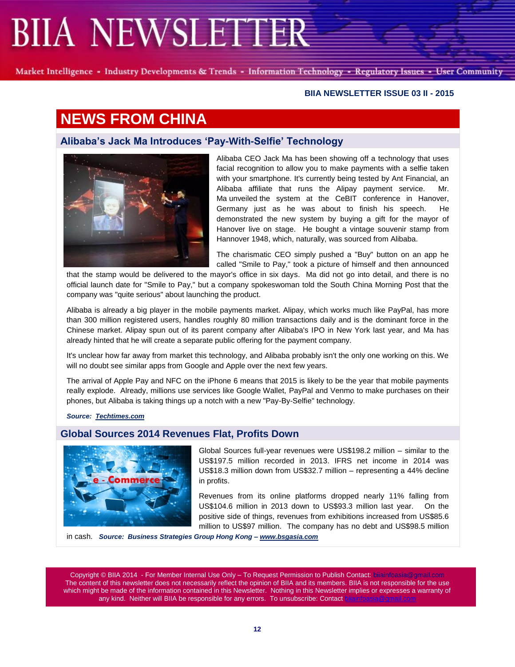Market Intelligence - Industry Developments & Trends - Information Technology - Regulatory Issues - User Community

#### **BIIA NEWSLETTER ISSUE 03 II - 2015**

# **NEWS FROM CHINA**

## **Alibaba's Jack Ma Introduces 'Pay-With-Selfie' Technology**



Alibaba CEO Jack Ma has been showing off a technology that uses facial recognition to allow you to make payments with a selfie taken with your smartphone. It's currently being tested by Ant Financial, an Alibaba affiliate that runs the Alipay payment service. Ma unveiled the system at the CeBIT conference in Hanover, Germany just as he was about to finish his speech. He demonstrated the new system by buying a gift for the mayor of Hanover live on stage. He bought a vintage souvenir stamp from Hannover 1948, which, naturally, was sourced from Alibaba.

The charismatic CEO simply pushed a "Buy" button on an app he called "Smile to Pay," took a picture of himself and then announced

that the stamp would be delivered to the mayor's office in six days. Ma did not go into detail, and there is no official launch date for "Smile to Pay," but a company spokeswoman told the South China Morning Post that the company was "quite serious" about launching the product.

Alibaba is already a big player in the mobile payments market. Alipay, which works much like PayPal, has more than 300 million registered users, handles roughly 80 million transactions daily and is the dominant force in the Chinese market. Alipay spun out of its parent company after Alibaba's IPO in New York last year, and Ma has already hinted that he will create a separate public offering for the payment company.

It's unclear how far away from market this technology, and Alibaba probably isn't the only one working on this. We will no doubt see similar apps from Google and Apple over the next few years.

The arrival of Apple Pay and NFC on the iPhone 6 means that 2015 is likely to be the year that mobile payments really explode. Already, millions use services like Google Wallet, PayPal and Venmo to make purchases on their phones, but Alibaba is taking things up a notch with a new "Pay-By-Selfie" technology.

*Source: [Techtimes.com](http://www.techtimes.com/articles/40857/20150319/ailibabas-jack-ma-demos-pay-selfie-technology.htm)*

### **Global Sources 2014 Revenues Flat, Profits Down**



Global Sources full-year revenues were US\$198.2 million – similar to the US\$197.5 million recorded in 2013. IFRS net income in 2014 was US\$18.3 million down from US\$32.7 million – representing a 44% decline in profits.

Revenues from its online platforms dropped nearly 11% falling from US\$104.6 million in 2013 down to US\$93.3 million last year. On the positive side of things, revenues from exhibitions increased from US\$85.6 million to US\$97 million. The company has no debt and US\$98.5 million

in cash. *Source: Business Strategies Group Hong Kong – [www.bsgasia.com](http://www.bsgasia.com/)*

Copyright © BIIA 2014 - For Member Internal Use Only - To Request Permission to Publish Contact: biiainfoa The content of this newsletter does not necessarily reflect the opinion of BIIA and its members. BIIA is not responsible for the use which might be made of the information contained in this Newsletter. Nothing in this Newsletter implies or expresses a warranty of any kind. Neither will BIIA be responsible for any errors. To unsubscribe: Contact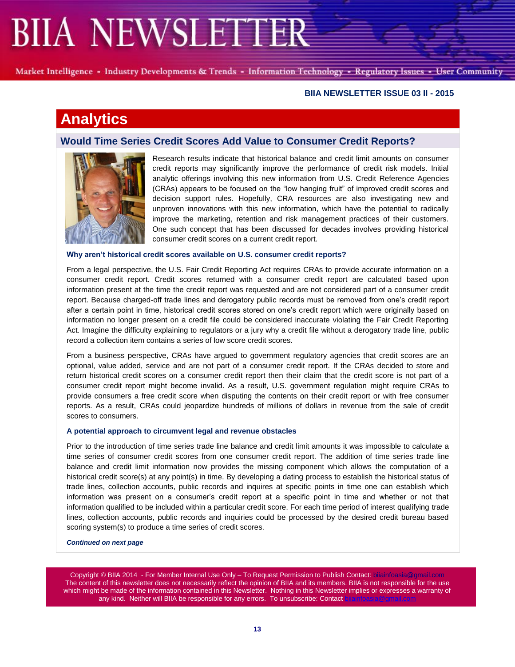Market Intelligence - Industry Developments & Trends - Information Technology - Regulatory Issues - User Community

#### **BIIA NEWSLETTER ISSUE 03 II - 2015**

# **Analytics**

### **Would Time Series Credit Scores Add Value to Consumer Credit Reports?**



Research results indicate that historical balance and credit limit amounts on consumer credit reports may significantly improve the performance of credit risk models. Initial analytic offerings involving this new information from U.S. Credit Reference Agencies (CRAs) appears to be focused on the "low hanging fruit" of improved credit scores and decision support rules. Hopefully, CRA resources are also investigating new and unproven innovations with this new information, which have the potential to radically improve the marketing, retention and risk management practices of their customers. One such concept that has been discussed for decades involves providing historical consumer credit scores on a current credit report.

#### **Why aren't historical credit scores available on U.S. consumer credit reports?**

From a legal perspective, the U.S. Fair Credit Reporting Act requires CRAs to provide accurate information on a consumer credit report. Credit scores returned with a consumer credit report are calculated based upon information present at the time the credit report was requested and are not considered part of a consumer credit report. Because charged-off trade lines and derogatory public records must be removed from one's credit report after a certain point in time, historical credit scores stored on one's credit report which were originally based on information no longer present on a credit file could be considered inaccurate violating the Fair Credit Reporting Act. Imagine the difficulty explaining to regulators or a jury why a credit file without a derogatory trade line, public record a collection item contains a series of low score credit scores.

From a business perspective, CRAs have argued to government regulatory agencies that credit scores are an optional, value added, service and are not part of a consumer credit report. If the CRAs decided to store and return historical credit scores on a consumer credit report then their claim that the credit score is not part of a consumer credit report might become invalid. As a result, U.S. government regulation might require CRAs to provide consumers a free credit score when disputing the contents on their credit report or with free consumer reports. As a result, CRAs could jeopardize hundreds of millions of dollars in revenue from the sale of credit scores to consumers.

#### **A potential approach to circumvent legal and revenue obstacles**

Prior to the introduction of time series trade line balance and credit limit amounts it was impossible to calculate a time series of consumer credit scores from one consumer credit report. The addition of time series trade line balance and credit limit information now provides the missing component which allows the computation of a historical credit score(s) at any point(s) in time. By developing a dating process to establish the historical status of trade lines, collection accounts, public records and inquires at specific points in time one can establish which information was present on a consumer's credit report at a specific point in time and whether or not that information qualified to be included within a particular credit score. For each time period of interest qualifying trade lines, collection accounts, public records and inquiries could be processed by the desired credit bureau based scoring system(s) to produce a time series of credit scores.

#### *Continued on next page*

Copyright © BIIA 2014 - For Member Internal Use Only – To Request Permission to Publish Contact: biiainfoasia The content of this newsletter does not necessarily reflect the opinion of BIIA and its members. BIIA is not responsible for the use which might be made of the information contained in this Newsletter. Nothing in this Newsletter implies or expresses a warranty of any kind. Neither will BIIA be responsible for any errors. To unsubscribe: Contact